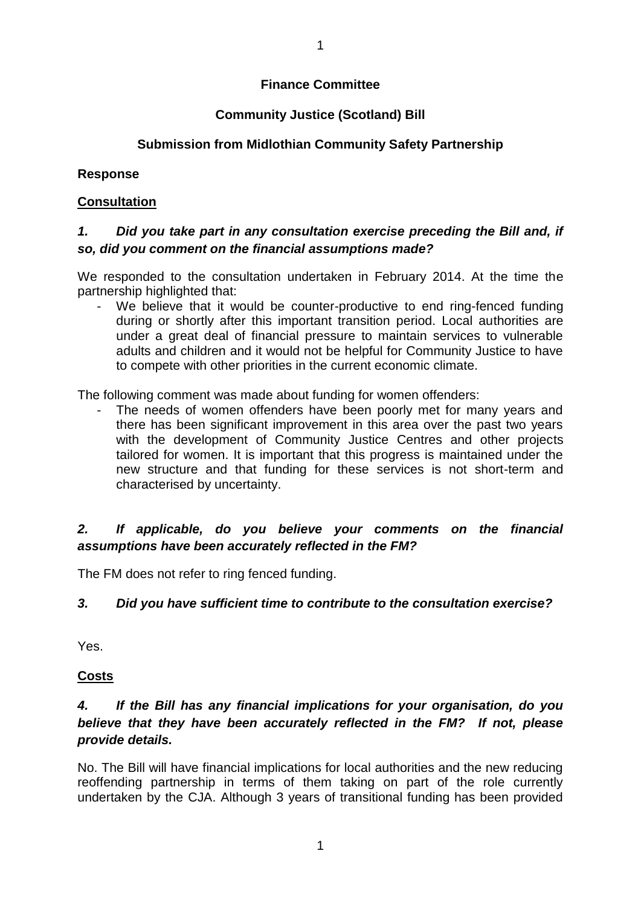### **Finance Committee**

## **Community Justice (Scotland) Bill**

## **Submission from Midlothian Community Safety Partnership**

## **Response**

## **Consultation**

## *1. Did you take part in any consultation exercise preceding the Bill and, if so, did you comment on the financial assumptions made?*

We responded to the consultation undertaken in February 2014. At the time the partnership highlighted that:

We believe that it would be counter-productive to end ring-fenced funding during or shortly after this important transition period. Local authorities are under a great deal of financial pressure to maintain services to vulnerable adults and children and it would not be helpful for Community Justice to have to compete with other priorities in the current economic climate.

The following comment was made about funding for women offenders:

The needs of women offenders have been poorly met for many years and there has been significant improvement in this area over the past two years with the development of Community Justice Centres and other projects tailored for women. It is important that this progress is maintained under the new structure and that funding for these services is not short-term and characterised by uncertainty.

## *2. If applicable, do you believe your comments on the financial assumptions have been accurately reflected in the FM?*

The FM does not refer to ring fenced funding.

## *3. Did you have sufficient time to contribute to the consultation exercise?*

Yes.

#### **Costs**

# *4. If the Bill has any financial implications for your organisation, do you believe that they have been accurately reflected in the FM? If not, please provide details.*

No. The Bill will have financial implications for local authorities and the new reducing reoffending partnership in terms of them taking on part of the role currently undertaken by the CJA. Although 3 years of transitional funding has been provided